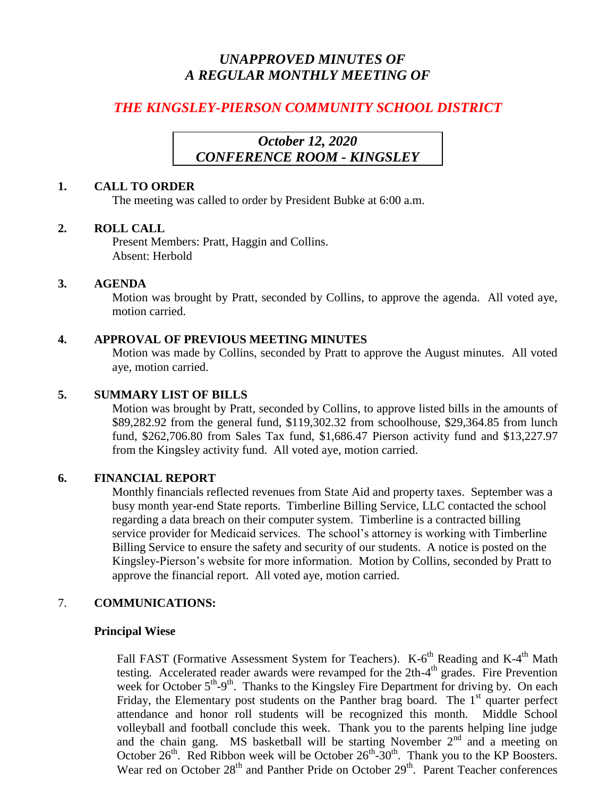# *UNAPPROVED MINUTES OF A REGULAR MONTHLY MEETING OF*

# *THE KINGSLEY-PIERSON COMMUNITY SCHOOL DISTRICT*

## *October 12, 2020 CONFERENCE ROOM - KINGSLEY*

## **1. CALL TO ORDER**

The meeting was called to order by President Bubke at 6:00 a.m.

## **2. ROLL CALL**

Present Members: Pratt, Haggin and Collins. Absent: Herbold

## **3. AGENDA**

Motion was brought by Pratt, seconded by Collins, to approve the agenda. All voted aye, motion carried.

## **4. APPROVAL OF PREVIOUS MEETING MINUTES**

Motion was made by Collins, seconded by Pratt to approve the August minutes. All voted aye, motion carried.

## **5. SUMMARY LIST OF BILLS**

Motion was brought by Pratt, seconded by Collins, to approve listed bills in the amounts of \$89,282.92 from the general fund, \$119,302.32 from schoolhouse, \$29,364.85 from lunch fund, \$262,706.80 from Sales Tax fund, \$1,686.47 Pierson activity fund and \$13,227.97 from the Kingsley activity fund. All voted aye, motion carried.

### **6. FINANCIAL REPORT**

Monthly financials reflected revenues from State Aid and property taxes. September was a busy month year-end State reports. Timberline Billing Service, LLC contacted the school regarding a data breach on their computer system. Timberline is a contracted billing service provider for Medicaid services. The school's attorney is working with Timberline Billing Service to ensure the safety and security of our students. A notice is posted on the Kingsley-Pierson's website for more information. Motion by Collins, seconded by Pratt to approve the financial report. All voted aye, motion carried.

## 7. **COMMUNICATIONS:**

### **Principal Wiese**

Fall FAST (Formative Assessment System for Teachers). K-6<sup>th</sup> Reading and K-4<sup>th</sup> Math testing. Accelerated reader awards were revamped for the  $2th-4<sup>th</sup>$  grades. Fire Prevention week for October 5<sup>th</sup>-9<sup>th</sup>. Thanks to the Kingsley Fire Department for driving by. On each Friday, the Elementary post students on the Panther brag board. The  $1<sup>st</sup>$  quarter perfect attendance and honor roll students will be recognized this month. Middle School volleyball and football conclude this week. Thank you to the parents helping line judge and the chain gang. MS basketball will be starting November  $2<sup>nd</sup>$  and a meeting on October  $26<sup>th</sup>$ . Red Ribbon week will be October  $26<sup>th</sup>$ - $30<sup>th</sup>$ . Thank you to the KP Boosters. Wear red on October 28<sup>th</sup> and Panther Pride on October 29<sup>th</sup>. Parent Teacher conferences